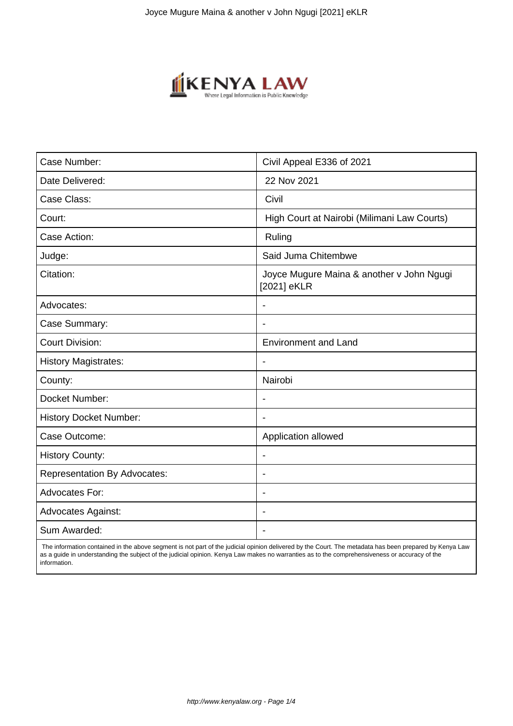

| Case Number:                        | Civil Appeal E336 of 2021                                |  |  |
|-------------------------------------|----------------------------------------------------------|--|--|
| Date Delivered:                     | 22 Nov 2021                                              |  |  |
| Case Class:                         | Civil                                                    |  |  |
| Court:                              | High Court at Nairobi (Milimani Law Courts)              |  |  |
| Case Action:                        | Ruling                                                   |  |  |
| Judge:                              | Said Juma Chitembwe                                      |  |  |
| Citation:                           | Joyce Mugure Maina & another v John Ngugi<br>[2021] eKLR |  |  |
| Advocates:                          |                                                          |  |  |
| Case Summary:                       |                                                          |  |  |
| <b>Court Division:</b>              | <b>Environment and Land</b>                              |  |  |
| <b>History Magistrates:</b>         | $\overline{\phantom{a}}$                                 |  |  |
| County:                             | Nairobi                                                  |  |  |
| Docket Number:                      |                                                          |  |  |
| <b>History Docket Number:</b>       |                                                          |  |  |
| Case Outcome:                       | Application allowed                                      |  |  |
| <b>History County:</b>              | $\blacksquare$                                           |  |  |
| <b>Representation By Advocates:</b> | ÷                                                        |  |  |
| Advocates For:                      | $\overline{\phantom{0}}$                                 |  |  |
| <b>Advocates Against:</b>           |                                                          |  |  |
| Sum Awarded:                        |                                                          |  |  |

 The information contained in the above segment is not part of the judicial opinion delivered by the Court. The metadata has been prepared by Kenya Law as a guide in understanding the subject of the judicial opinion. Kenya Law makes no warranties as to the comprehensiveness or accuracy of the information.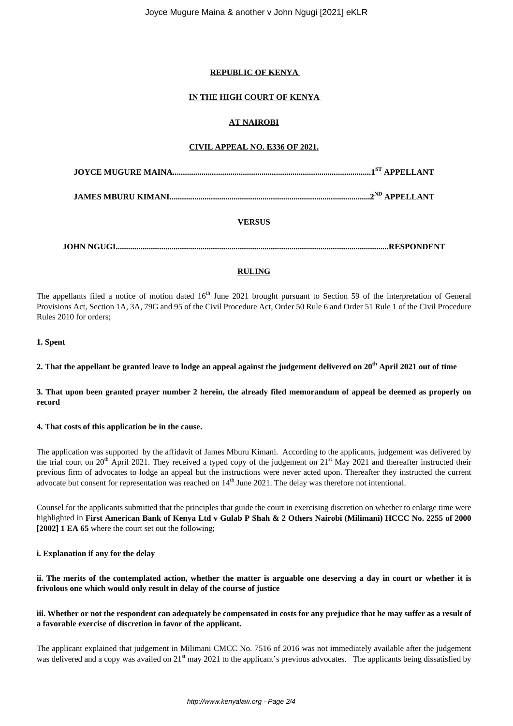### **REPUBLIC OF KENYA**

## **IN THE HIGH COURT OF KENYA**

### **AT NAIROBI**

#### **CIVIL APPEAL NO. E336 OF 2021.**

**JAMES MBURU KIMANI.................................................................................................2ND APPELLANT**

## **VERSUS**

**JOHN NGUGI....................................................................................................................................RESPONDENT**

## **RULING**

The appellants filed a notice of motion dated 16<sup>th</sup> June 2021 brought pursuant to Section 59 of the interpretation of General Provisions Act, Section 1A, 3A, 79G and 95 of the Civil Procedure Act, Order 50 Rule 6 and Order 51 Rule 1 of the Civil Procedure Rules 2010 for orders;

#### **1. Spent**

**2. That the appellant be granted leave to lodge an appeal against the judgement delivered on 20th April 2021 out of time**

**3. That upon been granted prayer number 2 herein, the already filed memorandum of appeal be deemed as properly on record**

#### **4. That costs of this application be in the cause.**

The application was supported by the affidavit of James Mburu Kimani. According to the applicants, judgement was delivered by the trial court on 20<sup>th</sup> April 2021. They received a typed copy of the judgement on  $21^{st}$  May 2021 and thereafter instructed their previous firm of advocates to lodge an appeal but the instructions were never acted upon. Thereafter they instructed the current advocate but consent for representation was reached on  $14<sup>th</sup>$  June 2021. The delay was therefore not intentional.

Counsel for the applicants submitted that the principles that guide the court in exercising discretion on whether to enlarge time were highlighted in **First American Bank of Kenya Ltd v Gulab P Shah & 2 Others Nairobi (Milimani) HCCC No. 2255 of 2000 [2002] 1 EA 65** where the court set out the following;

#### **i. Explanation if any for the delay**

**ii. The merits of the contemplated action, whether the matter is arguable one deserving a day in court or whether it is frivolous one which would only result in delay of the course of justice**

#### **iii. Whether or not the respondent can adequately be compensated in costs for any prejudice that he may suffer as a result of a favorable exercise of discretion in favor of the applicant.**

The applicant explained that judgement in Milimani CMCC No. 7516 of 2016 was not immediately available after the judgement was delivered and a copy was availed on 21<sup>st</sup> may 2021 to the applicant's previous advocates. The applicants being dissatisfied by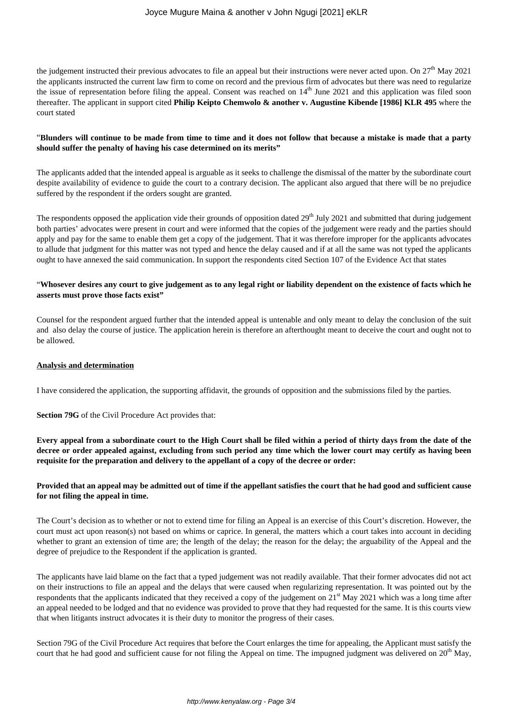the judgement instructed their previous advocates to file an appeal but their instructions were never acted upon. On  $27<sup>th</sup>$  May 2021 the applicants instructed the current law firm to come on record and the previous firm of advocates but there was need to regularize the issue of representation before filing the appeal. Consent was reached on  $14<sup>th</sup>$  June 2021 and this application was filed soon thereafter. The applicant in support cited **Philip Keipto Chemwolo & another v. Augustine Kibende [1986] KLR 495** where the court stated

#### "**Blunders will continue to be made from time to time and it does not follow that because a mistake is made that a party should suffer the penalty of having his case determined on its merits"**

The applicants added that the intended appeal is arguable as it seeks to challenge the dismissal of the matter by the subordinate court despite availability of evidence to guide the court to a contrary decision. The applicant also argued that there will be no prejudice suffered by the respondent if the orders sought are granted.

The respondents opposed the application vide their grounds of opposition dated  $29<sup>th</sup>$  July 2021 and submitted that during judgement both parties' advocates were present in court and were informed that the copies of the judgement were ready and the parties should apply and pay for the same to enable them get a copy of the judgement. That it was therefore improper for the applicants advocates to allude that judgment for this matter was not typed and hence the delay caused and if at all the same was not typed the applicants ought to have annexed the said communication. In support the respondents cited Section 107 of the Evidence Act that states

#### "**Whosever desires any court to give judgement as to any legal right or liability dependent on the existence of facts which he asserts must prove those facts exist"**

Counsel for the respondent argued further that the intended appeal is untenable and only meant to delay the conclusion of the suit and also delay the course of justice. The application herein is therefore an afterthought meant to deceive the court and ought not to be allowed.

#### **Analysis and determination**

I have considered the application, the supporting affidavit, the grounds of opposition and the submissions filed by the parties.

**Section 79G** of the Civil Procedure Act provides that:

**Every appeal from a subordinate court to the High Court shall be filed within a period of thirty days from the date of the decree or order appealed against, excluding from such period any time which the lower court may certify as having been requisite for the preparation and delivery to the appellant of a copy of the decree or order:**

#### **Provided that an appeal may be admitted out of time if the appellant satisfies the court that he had good and sufficient cause for not filing the appeal in time.**

The Court's decision as to whether or not to extend time for filing an Appeal is an exercise of this Court's discretion. However, the court must act upon reason(s) not based on whims or caprice. In general, the matters which a court takes into account in deciding whether to grant an extension of time are; the length of the delay; the reason for the delay; the arguability of the Appeal and the degree of prejudice to the Respondent if the application is granted.

The applicants have laid blame on the fact that a typed judgement was not readily available. That their former advocates did not act on their instructions to file an appeal and the delays that were caused when regularizing representation. It was pointed out by the respondents that the applicants indicated that they received a copy of the judgement on  $21<sup>st</sup>$  May 2021 which was a long time after an appeal needed to be lodged and that no evidence was provided to prove that they had requested for the same. It is this courts view that when litigants instruct advocates it is their duty to monitor the progress of their cases.

Section 79G of the Civil Procedure Act requires that before the Court enlarges the time for appealing, the Applicant must satisfy the court that he had good and sufficient cause for not filing the Appeal on time. The impugned judgment was delivered on  $20<sup>th</sup>$  May,